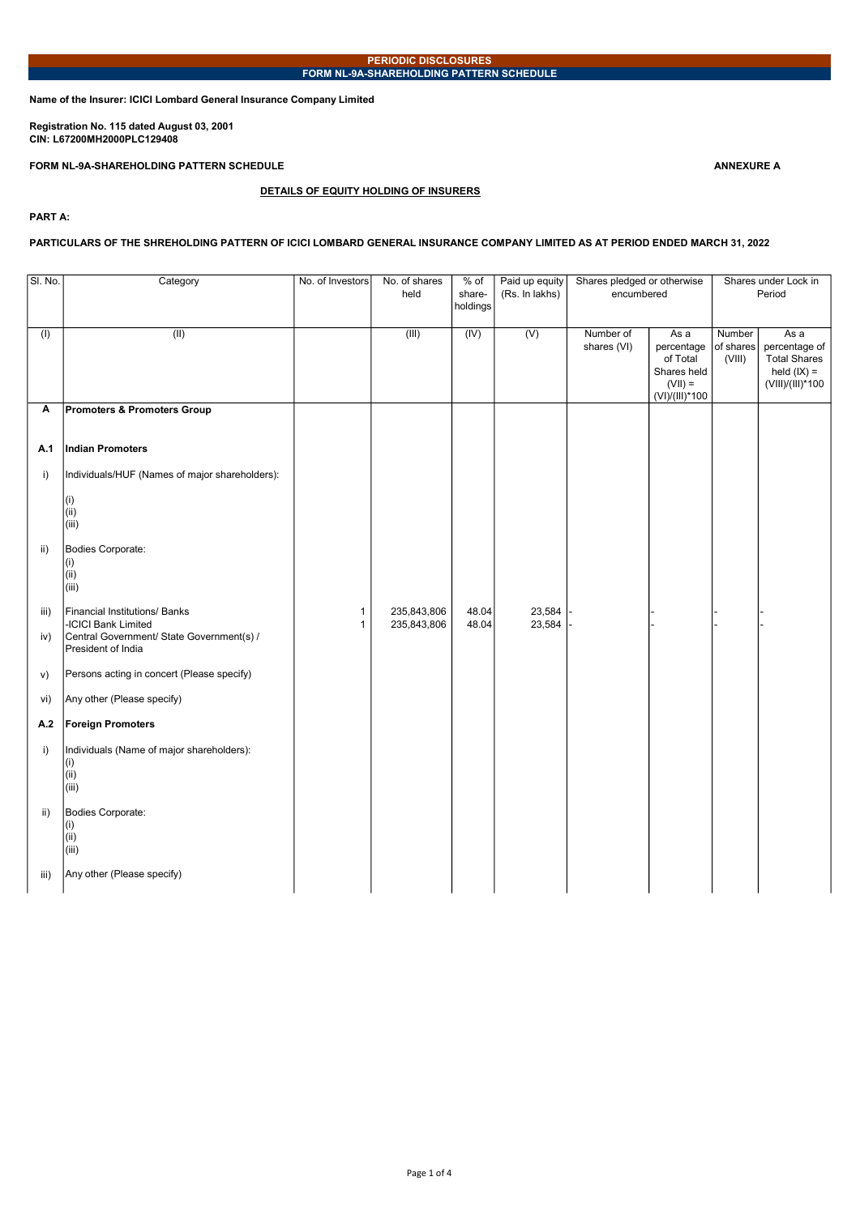Name of the Insurer: ICICI Lombard General Insurance Company Limited

Registration No. 115 dated August 03, 2001 CIN: L67200MH2000PLC129408

FORM NL-9A-SHAREHOLDING PATTERN SCHEDULE ANNEXURE A

# DETAILS OF EQUITY HOLDING OF INSURERS

PART A:

## PARTICULARS OF THE SHREHOLDING PATTERN OF ICICI LOMBARD GENERAL INSURANCE COMPANY LIMITED AS AT PERIOD ENDED MARCH 31, 2022

| SI. No.     | Category                                                                                                                | No. of Investors  | No. of shares<br>held      | % of<br>share-<br>holdings | Paid up equity<br>(Rs. In lakhs) | Shares pledged or otherwise<br>encumbered |                                                                              |                               | Shares under Lock in<br>Period                                            |
|-------------|-------------------------------------------------------------------------------------------------------------------------|-------------------|----------------------------|----------------------------|----------------------------------|-------------------------------------------|------------------------------------------------------------------------------|-------------------------------|---------------------------------------------------------------------------|
| (1)         | (II)                                                                                                                    |                   | (III)                      | $\overline{(IV)}$          | (V)                              | Number of<br>shares (VI)                  | As a<br>percentage<br>of Total<br>Shares held<br>$(VII) =$<br>(VI)/(III)*100 | Number<br>of shares<br>(VIII) | Asa<br>percentage of<br>Total Shares<br>held $(IX) =$<br>(VIII)/(III)*100 |
| Α           | <b>Promoters &amp; Promoters Group</b>                                                                                  |                   |                            |                            |                                  |                                           |                                                                              |                               |                                                                           |
| A.1         | Indian Promoters                                                                                                        |                   |                            |                            |                                  |                                           |                                                                              |                               |                                                                           |
| i)          | Individuals/HUF (Names of major shareholders):                                                                          |                   |                            |                            |                                  |                                           |                                                                              |                               |                                                                           |
|             | (i)<br>(i)<br>(iii)                                                                                                     |                   |                            |                            |                                  |                                           |                                                                              |                               |                                                                           |
| ii)         | Bodies Corporate:<br>(i)<br>(i)<br>(iii)                                                                                |                   |                            |                            |                                  |                                           |                                                                              |                               |                                                                           |
| iii)<br>iv) | Financial Institutions/ Banks<br>-ICICI Bank Limited<br>Central Government/ State Government(s) /<br>President of India | 1<br>$\mathbf{1}$ | 235,843,806<br>235,843,806 | 48.04<br>48.04             | 23,584<br>23,584                 |                                           |                                                                              |                               |                                                                           |
| V)          | Persons acting in concert (Please specify)                                                                              |                   |                            |                            |                                  |                                           |                                                                              |                               |                                                                           |
| vi)         | Any other (Please specify)                                                                                              |                   |                            |                            |                                  |                                           |                                                                              |                               |                                                                           |
| A.2         | <b>Foreign Promoters</b>                                                                                                |                   |                            |                            |                                  |                                           |                                                                              |                               |                                                                           |
| i)          | Individuals (Name of major shareholders):<br>(i)<br>(i)<br>(iii)                                                        |                   |                            |                            |                                  |                                           |                                                                              |                               |                                                                           |
| ii)         | Bodies Corporate:<br>(i)<br>(i)<br>(iii)                                                                                |                   |                            |                            |                                  |                                           |                                                                              |                               |                                                                           |
| iii)        | Any other (Please specify)                                                                                              |                   |                            |                            |                                  |                                           |                                                                              |                               |                                                                           |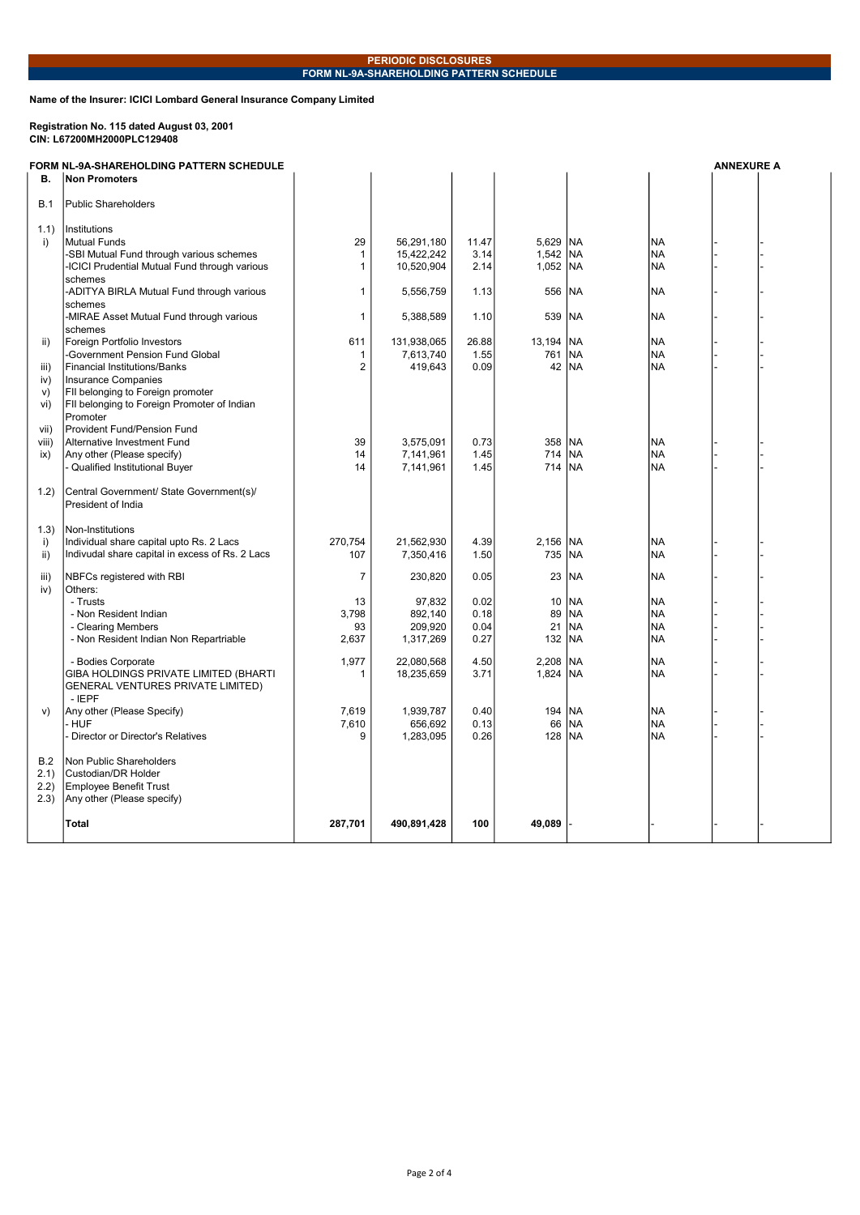Name of the Insurer: ICICI Lombard General Insurance Company Limited

### Registration No. 115 dated August 03, 2001 CIN: L67200MH2000PLC129408

FORM NL-9A-SHAREHOLDING PATTERN SCHEDULE ANNEXURE A

|               | SHARLHULDING FATTEI<br>Non Promoters                       |              |             |       |            |            |            |  |
|---------------|------------------------------------------------------------|--------------|-------------|-------|------------|------------|------------|--|
| В.            |                                                            |              |             |       |            |            |            |  |
|               |                                                            |              |             |       |            |            |            |  |
| <b>B.1</b>    | <b>Public Shareholders</b>                                 |              |             |       |            |            |            |  |
| 1.1)          | Institutions                                               |              |             |       |            |            |            |  |
| i)            | Mutual Funds                                               | 29           | 56,291,180  | 11.47 | 5,629 NA   |            | <b>INA</b> |  |
|               | -SBI Mutual Fund through various schemes                   | 1            | 15,422,242  | 3.14  | 1,542 NA   |            | <b>NA</b>  |  |
|               | <b>ICICI Prudential Mutual Fund through various</b>        | $\mathbf{1}$ | 10,520,904  | 2.14  | $1,052$ NA |            | <b>NA</b>  |  |
|               | schemes                                                    |              |             |       |            |            |            |  |
|               | -ADITYA BIRLA Mutual Fund through various                  | $\mathbf{1}$ | 5,556,759   | 1.13  | 556        | <b>NA</b>  | <b>NA</b>  |  |
|               | schemes                                                    |              |             |       |            |            |            |  |
|               | -MIRAE Asset Mutual Fund through various                   | 1            | 5,388,589   | 1.10  | 539        | <b>NA</b>  | NA         |  |
|               | schemes                                                    |              |             |       |            |            |            |  |
| ii)           | Foreign Portfolio Investors                                | 611          | 131,938,065 | 26.88 | 13,194     | <b>NA</b>  | <b>NA</b>  |  |
|               | Government Pension Fund Global                             | 1            | 7,613,740   | 1.55  | 761        | <b>INA</b> | <b>INA</b> |  |
| iii)          | <b>Financial Institutions/Banks</b>                        | 2            | 419,643     | 0.09  | 42         | <b>INA</b> | <b>NA</b>  |  |
| iv)           | Insurance Companies                                        |              |             |       |            |            |            |  |
| V)            | FII belonging to Foreign promoter                          |              |             |       |            |            |            |  |
| vi)           | FII belonging to Foreign Promoter of Indian                |              |             |       |            |            |            |  |
|               | Promoter                                                   |              |             |       |            |            |            |  |
| vii)<br>viii) | Provident Fund/Pension Fund<br>Alternative Investment Fund | 39           | 3,575,091   | 0.73  | 358        | <b>INA</b> | <b>NA</b>  |  |
| ix)           | Any other (Please specify)                                 | 14           | 7,141,961   | 1.45  | 714        | <b>NA</b>  | <b>NA</b>  |  |
|               | - Qualified Institutional Buyer                            | 14           | 7,141,961   | 1.45  | 714        | <b>INA</b> | <b>NA</b>  |  |
|               |                                                            |              |             |       |            |            |            |  |
| 1.2)          | Central Government/ State Government(s)/                   |              |             |       |            |            |            |  |
|               | President of India                                         |              |             |       |            |            |            |  |
|               |                                                            |              |             |       |            |            |            |  |
| 1.3)          | Non-Institutions                                           |              |             |       |            |            |            |  |
| i)            | Individual share capital upto Rs. 2 Lacs                   | 270,754      | 21,562,930  | 4.39  | 2,156 NA   |            | NA         |  |
| ii)           | Indivudal share capital in excess of Rs. 2 Lacs            | 107          | 7,350,416   | 1.50  | 735 NA     |            | <b>NA</b>  |  |
| iii)          | NBFCs registered with RBI                                  | 7            | 230,820     | 0.05  | 23         | <b>NA</b>  | NA         |  |
| iv)           | Others:                                                    |              |             |       |            |            |            |  |
|               | - Trusts                                                   | 13           | 97,832      | 0.02  | 10         | <b>NA</b>  | NA         |  |
|               | - Non Resident Indian                                      | 3,798        | 892,140     | 0.18  | 89         | <b>NA</b>  | <b>NA</b>  |  |
|               | - Clearing Members                                         | 93           | 209,920     | 0.04  | 21         | <b>NA</b>  | NA         |  |
|               | - Non Resident Indian Non Repartriable                     | 2,637        | 1,317,269   | 0.27  | 132        | <b>INA</b> | <b>NA</b>  |  |
|               |                                                            |              |             |       |            |            |            |  |
|               | - Bodies Corporate                                         | 1,977        | 22,080,568  | 4.50  | 2,208      | <b>INA</b> | NA         |  |
|               | GIBA HOLDINGS PRIVATE LIMITED (BHARTI                      | 1            | 18,235,659  | 3.71  | 1,824 NA   |            | <b>NA</b>  |  |
|               | GENERAL VENTURES PRIVATE LIMITED)<br>- IEPF                |              |             |       |            |            |            |  |
| V)            | Any other (Please Specify)                                 | 7,619        | 1,939,787   | 0.40  | 194        | <b>NA</b>  | <b>NA</b>  |  |
|               | - HUF                                                      | 7,610        | 656.692     | 0.13  | 66         | <b>NA</b>  | <b>NA</b>  |  |
|               | - Director or Director's Relatives                         | 9            | 1,283,095   | 0.26  | 128        | <b>NA</b>  | <b>NA</b>  |  |
|               |                                                            |              |             |       |            |            |            |  |
| B.2           | Non Public Shareholders                                    |              |             |       |            |            |            |  |
| 2.1)          | Custodian/DR Holder                                        |              |             |       |            |            |            |  |
| 2.2)          | <b>Employee Benefit Trust</b>                              |              |             |       |            |            |            |  |
| (2.3)         | Any other (Please specify)                                 |              |             |       |            |            |            |  |
|               |                                                            |              |             |       |            |            |            |  |
|               | <b>Total</b>                                               | 287,701      | 490,891,428 | 100   | 49,089     |            |            |  |
|               |                                                            |              |             |       |            |            |            |  |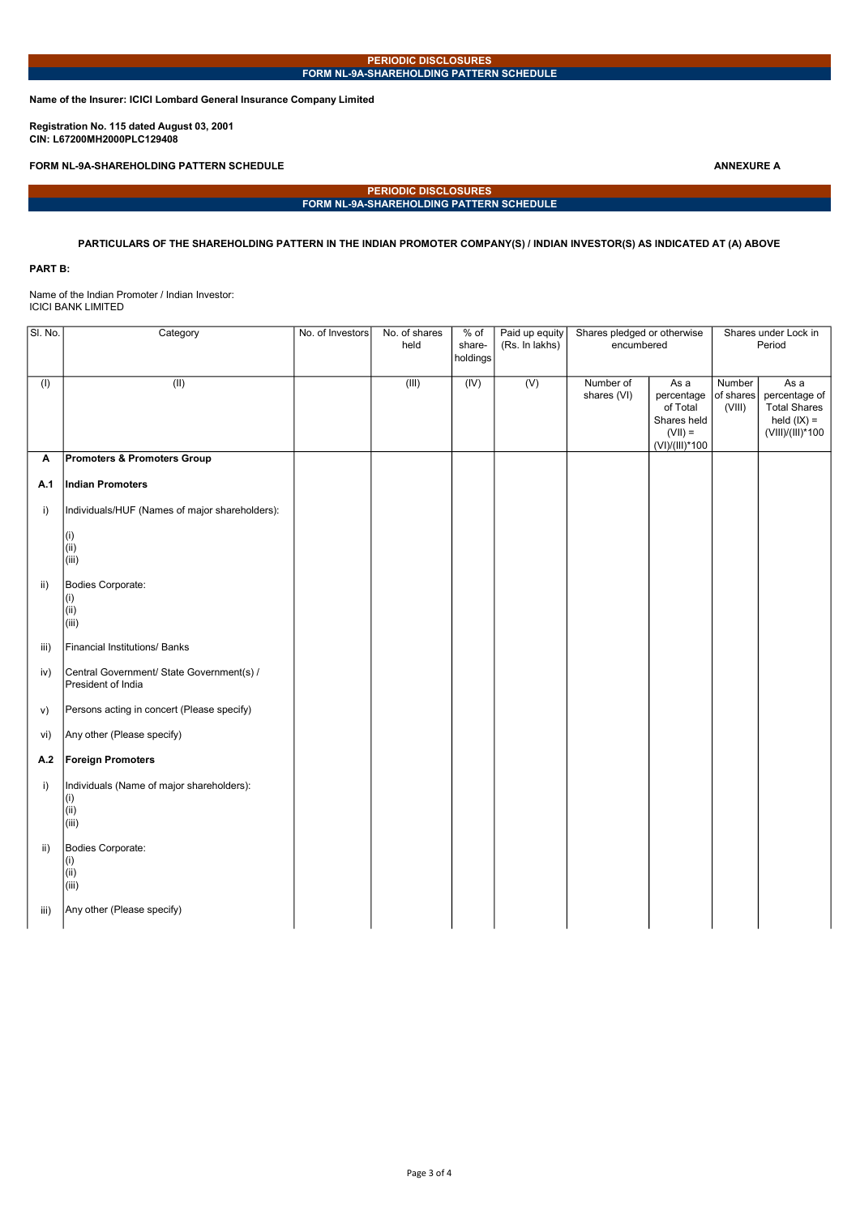Name of the Insurer: ICICI Lombard General Insurance Company Limited

Registration No. 115 dated August 03, 2001 CIN: L67200MH2000PLC129408

FORM NL-9A-SHAREHOLDING PATTERN SCHEDULE ANNEXURE A

PERIODIC DISCLOSURES FORM NL-9A-SHAREHOLDING PATTERN SCHEDULE

# PARTICULARS OF THE SHAREHOLDING PATTERN IN THE INDIAN PROMOTER COMPANY(S) / INDIAN INVESTOR(S) AS INDICATED AT (A) ABOVE

#### PART B:

Name of the Indian Promoter / Indian Investor: ICICI BANK LIMITED

| SI. No.                   | Category                                       | No. of Investors | No. of shares | $%$ of   | Paid up equity | Shares pledged or otherwise |                | Shares under Lock in |                     |  |
|---------------------------|------------------------------------------------|------------------|---------------|----------|----------------|-----------------------------|----------------|----------------------|---------------------|--|
|                           |                                                |                  | held          | share-   | (Rs. In lakhs) | encumbered                  |                | Period               |                     |  |
|                           |                                                |                  |               | holdings |                |                             |                |                      |                     |  |
|                           |                                                |                  |               |          |                |                             |                |                      |                     |  |
| $\overline{(\mathsf{I})}$ | (II)                                           |                  | (III)         | (IV)     | (V)            | Number of                   | As a           | Number               | Asa                 |  |
|                           |                                                |                  |               |          |                | shares (VI)                 | percentage     | of shares            | percentage of       |  |
|                           |                                                |                  |               |          |                |                             | of Total       | (VIII)               | <b>Total Shares</b> |  |
|                           |                                                |                  |               |          |                |                             |                |                      | held $(IX) =$       |  |
|                           |                                                |                  |               |          |                |                             | Shares held    |                      |                     |  |
|                           |                                                |                  |               |          |                |                             | $(VII) =$      |                      | (VIII)/(III)*100    |  |
|                           |                                                |                  |               |          |                |                             | (VI)/(III)*100 |                      |                     |  |
| Α                         | Promoters & Promoters Group                    |                  |               |          |                |                             |                |                      |                     |  |
|                           |                                                |                  |               |          |                |                             |                |                      |                     |  |
| A.1                       | Indian Promoters                               |                  |               |          |                |                             |                |                      |                     |  |
|                           |                                                |                  |               |          |                |                             |                |                      |                     |  |
| i)                        | Individuals/HUF (Names of major shareholders): |                  |               |          |                |                             |                |                      |                     |  |
|                           |                                                |                  |               |          |                |                             |                |                      |                     |  |
|                           |                                                |                  |               |          |                |                             |                |                      |                     |  |
|                           | (i)                                            |                  |               |          |                |                             |                |                      |                     |  |
|                           | (i)                                            |                  |               |          |                |                             |                |                      |                     |  |
|                           | (iii)                                          |                  |               |          |                |                             |                |                      |                     |  |
|                           |                                                |                  |               |          |                |                             |                |                      |                     |  |
| ii)                       | Bodies Corporate:                              |                  |               |          |                |                             |                |                      |                     |  |
|                           | (i)                                            |                  |               |          |                |                             |                |                      |                     |  |
|                           | (i)                                            |                  |               |          |                |                             |                |                      |                     |  |
|                           | (iii)                                          |                  |               |          |                |                             |                |                      |                     |  |
|                           |                                                |                  |               |          |                |                             |                |                      |                     |  |
| iii)                      | Financial Institutions/ Banks                  |                  |               |          |                |                             |                |                      |                     |  |
|                           |                                                |                  |               |          |                |                             |                |                      |                     |  |
| iv)                       | Central Government/ State Government(s) /      |                  |               |          |                |                             |                |                      |                     |  |
|                           | President of India                             |                  |               |          |                |                             |                |                      |                     |  |
|                           |                                                |                  |               |          |                |                             |                |                      |                     |  |
| v)                        | Persons acting in concert (Please specify)     |                  |               |          |                |                             |                |                      |                     |  |
|                           |                                                |                  |               |          |                |                             |                |                      |                     |  |
|                           | Any other (Please specify)                     |                  |               |          |                |                             |                |                      |                     |  |
| vi)                       |                                                |                  |               |          |                |                             |                |                      |                     |  |
|                           |                                                |                  |               |          |                |                             |                |                      |                     |  |
| A.2                       | <b>Foreign Promoters</b>                       |                  |               |          |                |                             |                |                      |                     |  |
|                           |                                                |                  |               |          |                |                             |                |                      |                     |  |
| i)                        | Individuals (Name of major shareholders):      |                  |               |          |                |                             |                |                      |                     |  |
|                           | (i)                                            |                  |               |          |                |                             |                |                      |                     |  |
|                           | (i)                                            |                  |               |          |                |                             |                |                      |                     |  |
|                           | (iii)                                          |                  |               |          |                |                             |                |                      |                     |  |
|                           |                                                |                  |               |          |                |                             |                |                      |                     |  |
| $\mathsf{ii}$             | Bodies Corporate:                              |                  |               |          |                |                             |                |                      |                     |  |
|                           | (i)                                            |                  |               |          |                |                             |                |                      |                     |  |
|                           | (i)                                            |                  |               |          |                |                             |                |                      |                     |  |
|                           | (iii)                                          |                  |               |          |                |                             |                |                      |                     |  |
|                           |                                                |                  |               |          |                |                             |                |                      |                     |  |
| iii)                      | Any other (Please specify)                     |                  |               |          |                |                             |                |                      |                     |  |
|                           |                                                |                  |               |          |                |                             |                |                      |                     |  |
|                           |                                                |                  |               |          |                |                             |                |                      |                     |  |